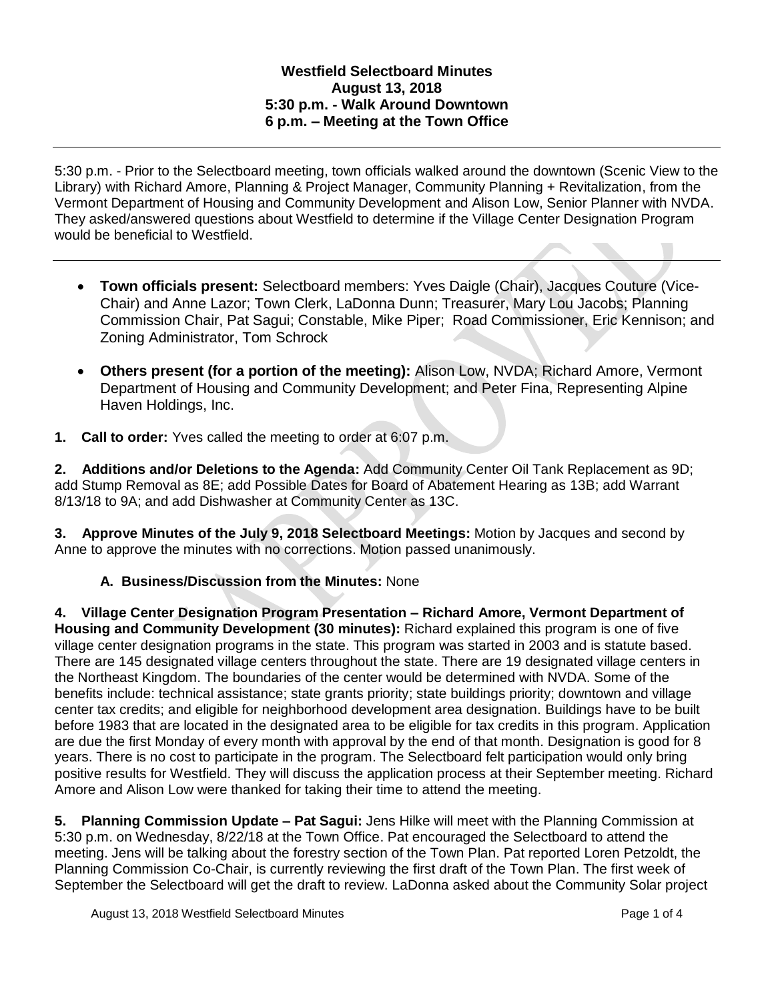## **Westfield Selectboard Minutes August 13, 2018 5:30 p.m. - Walk Around Downtown 6 p.m. – Meeting at the Town Office**

5:30 p.m. - Prior to the Selectboard meeting, town officials walked around the downtown (Scenic View to the Library) with Richard Amore, Planning & Project Manager, Community Planning + Revitalization, from the Vermont Department of Housing and Community Development and Alison Low, Senior Planner with NVDA. They asked/answered questions about Westfield to determine if the Village Center Designation Program would be beneficial to Westfield.

- **Town officials present:** Selectboard members: Yves Daigle (Chair), Jacques Couture (Vice-Chair) and Anne Lazor; Town Clerk, LaDonna Dunn; Treasurer, Mary Lou Jacobs; Planning Commission Chair, Pat Sagui; Constable, Mike Piper; Road Commissioner, Eric Kennison; and Zoning Administrator, Tom Schrock
- **Others present (for a portion of the meeting):** Alison Low, NVDA; Richard Amore, Vermont Department of Housing and Community Development; and Peter Fina, Representing Alpine Haven Holdings, Inc.
- **1. Call to order:** Yves called the meeting to order at 6:07 p.m.

**2. Additions and/or Deletions to the Agenda:** Add Community Center Oil Tank Replacement as 9D; add Stump Removal as 8E; add Possible Dates for Board of Abatement Hearing as 13B; add Warrant 8/13/18 to 9A; and add Dishwasher at Community Center as 13C.

**3. Approve Minutes of the July 9, 2018 Selectboard Meetings:** Motion by Jacques and second by Anne to approve the minutes with no corrections. Motion passed unanimously.

# **A. Business/Discussion from the Minutes:** None

**4. Village Center Designation Program Presentation – Richard Amore, Vermont Department of Housing and Community Development (30 minutes):** Richard explained this program is one of five village center designation programs in the state. This program was started in 2003 and is statute based. There are 145 designated village centers throughout the state. There are 19 designated village centers in the Northeast Kingdom. The boundaries of the center would be determined with NVDA. Some of the benefits include: technical assistance; state grants priority; state buildings priority; downtown and village center tax credits; and eligible for neighborhood development area designation. Buildings have to be built before 1983 that are located in the designated area to be eligible for tax credits in this program. Application are due the first Monday of every month with approval by the end of that month. Designation is good for 8 years. There is no cost to participate in the program. The Selectboard felt participation would only bring positive results for Westfield. They will discuss the application process at their September meeting. Richard Amore and Alison Low were thanked for taking their time to attend the meeting.

**5. Planning Commission Update – Pat Sagui:** Jens Hilke will meet with the Planning Commission at 5:30 p.m. on Wednesday, 8/22/18 at the Town Office. Pat encouraged the Selectboard to attend the meeting. Jens will be talking about the forestry section of the Town Plan. Pat reported Loren Petzoldt, the Planning Commission Co-Chair, is currently reviewing the first draft of the Town Plan. The first week of September the Selectboard will get the draft to review. LaDonna asked about the Community Solar project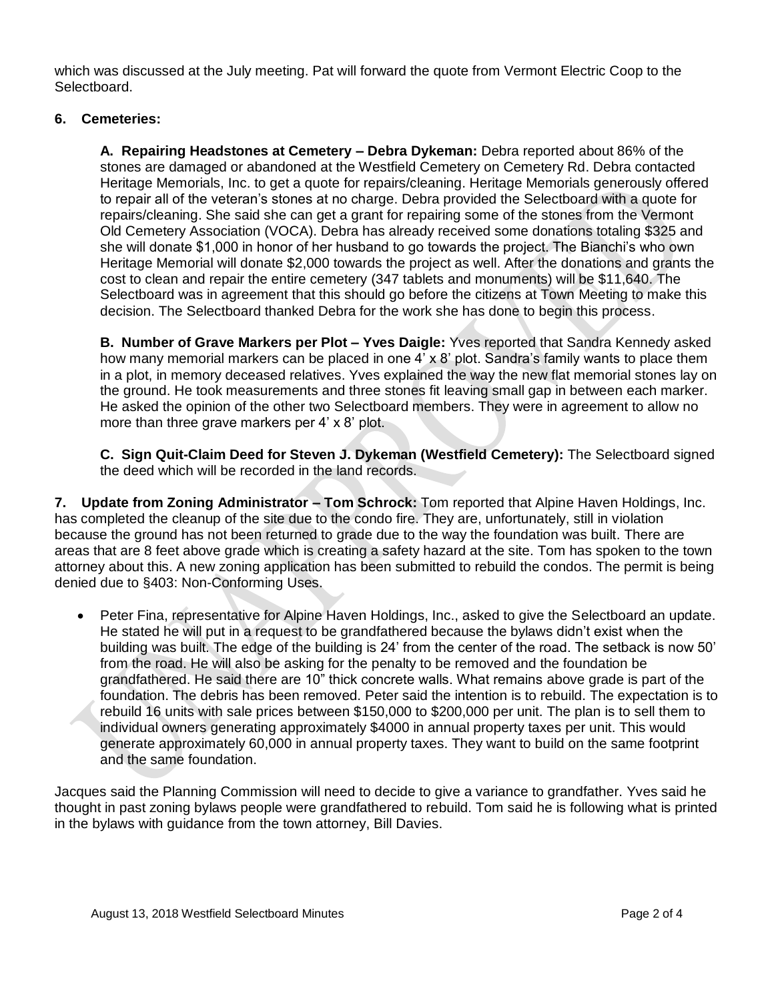which was discussed at the July meeting. Pat will forward the quote from Vermont Electric Coop to the Selectboard.

### **6. Cemeteries:**

**A. Repairing Headstones at Cemetery – Debra Dykeman:** Debra reported about 86% of the stones are damaged or abandoned at the Westfield Cemetery on Cemetery Rd. Debra contacted Heritage Memorials, Inc. to get a quote for repairs/cleaning. Heritage Memorials generously offered to repair all of the veteran's stones at no charge. Debra provided the Selectboard with a quote for repairs/cleaning. She said she can get a grant for repairing some of the stones from the Vermont Old Cemetery Association (VOCA). Debra has already received some donations totaling \$325 and she will donate \$1,000 in honor of her husband to go towards the project. The Bianchi's who own Heritage Memorial will donate \$2,000 towards the project as well. After the donations and grants the cost to clean and repair the entire cemetery (347 tablets and monuments) will be \$11,640. The Selectboard was in agreement that this should go before the citizens at Town Meeting to make this decision. The Selectboard thanked Debra for the work she has done to begin this process.

**B. Number of Grave Markers per Plot – Yves Daigle:** Yves reported that Sandra Kennedy asked how many memorial markers can be placed in one 4' x 8' plot. Sandra's family wants to place them in a plot, in memory deceased relatives. Yves explained the way the new flat memorial stones lay on the ground. He took measurements and three stones fit leaving small gap in between each marker. He asked the opinion of the other two Selectboard members. They were in agreement to allow no more than three grave markers per 4' x 8' plot.

**C. Sign Quit-Claim Deed for Steven J. Dykeman (Westfield Cemetery):** The Selectboard signed the deed which will be recorded in the land records.

**7. Update from Zoning Administrator – Tom Schrock:** Tom reported that Alpine Haven Holdings, Inc. has completed the cleanup of the site due to the condo fire. They are, unfortunately, still in violation because the ground has not been returned to grade due to the way the foundation was built. There are areas that are 8 feet above grade which is creating a safety hazard at the site. Tom has spoken to the town attorney about this. A new zoning application has been submitted to rebuild the condos. The permit is being denied due to §403: Non-Conforming Uses.

 Peter Fina, representative for Alpine Haven Holdings, Inc., asked to give the Selectboard an update. He stated he will put in a request to be grandfathered because the bylaws didn't exist when the building was built. The edge of the building is 24' from the center of the road. The setback is now 50' from the road. He will also be asking for the penalty to be removed and the foundation be grandfathered. He said there are 10" thick concrete walls. What remains above grade is part of the foundation. The debris has been removed. Peter said the intention is to rebuild. The expectation is to rebuild 16 units with sale prices between \$150,000 to \$200,000 per unit. The plan is to sell them to individual owners generating approximately \$4000 in annual property taxes per unit. This would generate approximately 60,000 in annual property taxes. They want to build on the same footprint and the same foundation.

Jacques said the Planning Commission will need to decide to give a variance to grandfather. Yves said he thought in past zoning bylaws people were grandfathered to rebuild. Tom said he is following what is printed in the bylaws with guidance from the town attorney, Bill Davies.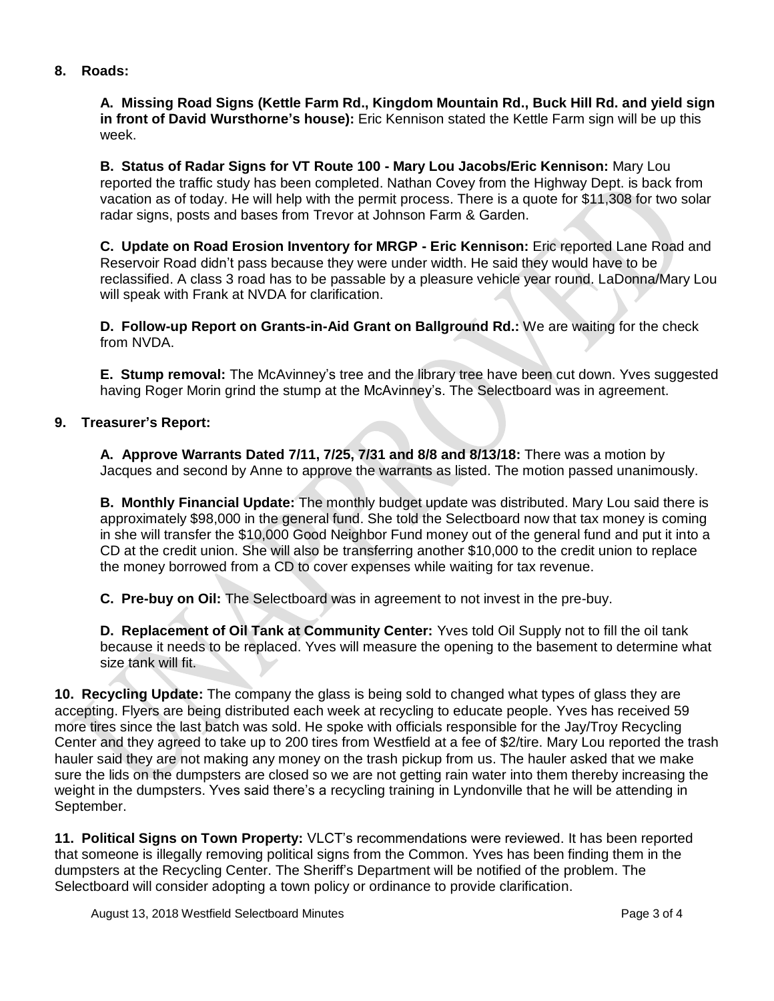### **8. Roads:**

**A. Missing Road Signs (Kettle Farm Rd., Kingdom Mountain Rd., Buck Hill Rd. and yield sign in front of David Wursthorne's house):** Eric Kennison stated the Kettle Farm sign will be up this week.

**B. Status of Radar Signs for VT Route 100 - Mary Lou Jacobs/Eric Kennison:** Mary Lou reported the traffic study has been completed. Nathan Covey from the Highway Dept. is back from vacation as of today. He will help with the permit process. There is a quote for \$11,308 for two solar radar signs, posts and bases from Trevor at Johnson Farm & Garden.

**C. Update on Road Erosion Inventory for MRGP - Eric Kennison:** Eric reported Lane Road and Reservoir Road didn't pass because they were under width. He said they would have to be reclassified. A class 3 road has to be passable by a pleasure vehicle year round. LaDonna/Mary Lou will speak with Frank at NVDA for clarification.

**D. Follow-up Report on Grants-in-Aid Grant on Ballground Rd.:** We are waiting for the check from NVDA.

**E. Stump removal:** The McAvinney's tree and the library tree have been cut down. Yves suggested having Roger Morin grind the stump at the McAvinney's. The Selectboard was in agreement.

#### **9. Treasurer's Report:**

**A. Approve Warrants Dated 7/11, 7/25, 7/31 and 8/8 and 8/13/18:** There was a motion by Jacques and second by Anne to approve the warrants as listed. The motion passed unanimously.

**B. Monthly Financial Update:** The monthly budget update was distributed. Mary Lou said there is approximately \$98,000 in the general fund. She told the Selectboard now that tax money is coming in she will transfer the \$10,000 Good Neighbor Fund money out of the general fund and put it into a CD at the credit union. She will also be transferring another \$10,000 to the credit union to replace the money borrowed from a CD to cover expenses while waiting for tax revenue.

**C. Pre-buy on Oil:** The Selectboard was in agreement to not invest in the pre-buy.

**D. Replacement of Oil Tank at Community Center:** Yves told Oil Supply not to fill the oil tank because it needs to be replaced. Yves will measure the opening to the basement to determine what size tank will fit.

**10. Recycling Update:** The company the glass is being sold to changed what types of glass they are accepting. Flyers are being distributed each week at recycling to educate people. Yves has received 59 more tires since the last batch was sold. He spoke with officials responsible for the Jay/Troy Recycling Center and they agreed to take up to 200 tires from Westfield at a fee of \$2/tire. Mary Lou reported the trash hauler said they are not making any money on the trash pickup from us. The hauler asked that we make sure the lids on the dumpsters are closed so we are not getting rain water into them thereby increasing the weight in the dumpsters. Yves said there's a recycling training in Lyndonville that he will be attending in September.

**11. Political Signs on Town Property:** VLCT's recommendations were reviewed. It has been reported that someone is illegally removing political signs from the Common. Yves has been finding them in the dumpsters at the Recycling Center. The Sheriff's Department will be notified of the problem. The Selectboard will consider adopting a town policy or ordinance to provide clarification.